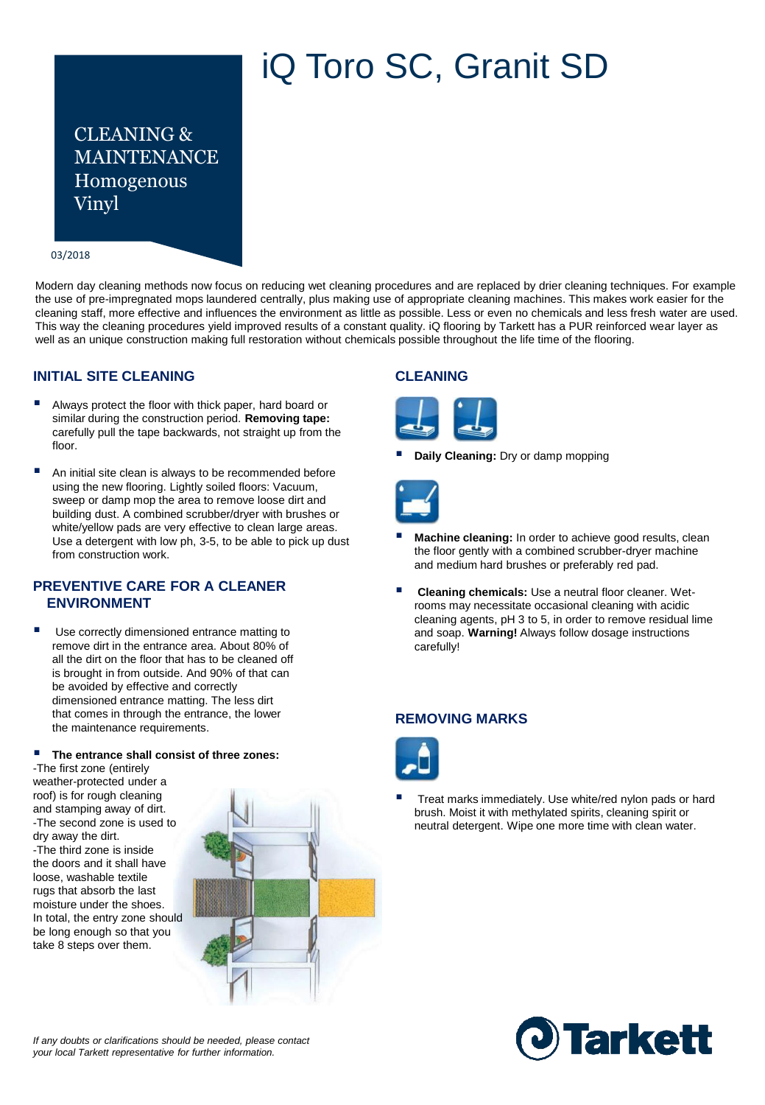# iQ Toro SC, Granit SD

CLEANING & MAINTENANCE Homogenous Vinyl

#### 03/2018

Modern day cleaning methods now focus on reducing wet cleaning procedures and are replaced by drier cleaning techniques. For example the use of pre-impregnated mops laundered centrally, plus making use of appropriate cleaning machines. This makes work easier for the cleaning staff, more effective and influences the environment as little as possible. Less or even no chemicals and less fresh water are used. This way the cleaning procedures yield improved results of a constant quality. iQ flooring by Tarkett has a PUR reinforced wear layer as well as an unique construction making full restoration without chemicals possible throughout the life time of the flooring.

#### **INITIAL SITE CLEANING**

- Always protect the floor with thick paper, hard board or similar during the construction period. **Removing tape:**  carefully pull the tape backwards, not straight up from the floor.
- An initial site clean is always to be recommended before using the new flooring. Lightly soiled floors: Vacuum, sweep or damp mop the area to remove loose dirt and building dust. A combined scrubber/dryer with brushes or white/yellow pads are very effective to clean large areas. Use a detergent with low ph, 3-5, to be able to pick up dust from construction work.

#### **PREVENTIVE CARE FOR A CLEANER ENVIRONMENT**

 Use correctly dimensioned entrance matting to remove dirt in the entrance area. About 80% of all the dirt on the floor that has to be cleaned off is brought in from outside. And 90% of that can be avoided by effective and correctly dimensioned entrance matting. The less dirt that comes in through the entrance, the lower the maintenance requirements.

#### **The entrance shall consist of three zones:**

-The first zone (entirely weather-protected under a roof) is for rough cleaning and stamping away of dirt. -The second zone is used to dry away the dirt. -The third zone is inside the doors and it shall have loose, washable textile rugs that absorb the last moisture under the shoes. In total, the entry zone should be long enough so that you take 8 steps over them.



## **CLEANING**



**Daily Cleaning:** Dry or damp mopping



- **Machine cleaning:** In order to achieve good results, clean the floor gently with a combined scrubber-dryer machine and medium hard brushes or preferably red pad.
- **Cleaning chemicals:** Use a neutral floor cleaner. Wetrooms may necessitate occasional cleaning with acidic cleaning agents, pH 3 to 5, in order to remove residual lime and soap. **Warning!** Always follow dosage instructions carefully!

### **REMOVING MARKS**



 Treat marks immediately. Use white/red nylon pads or hard brush. Moist it with methylated spirits, cleaning spirit or neutral detergent. Wipe one more time with clean water.